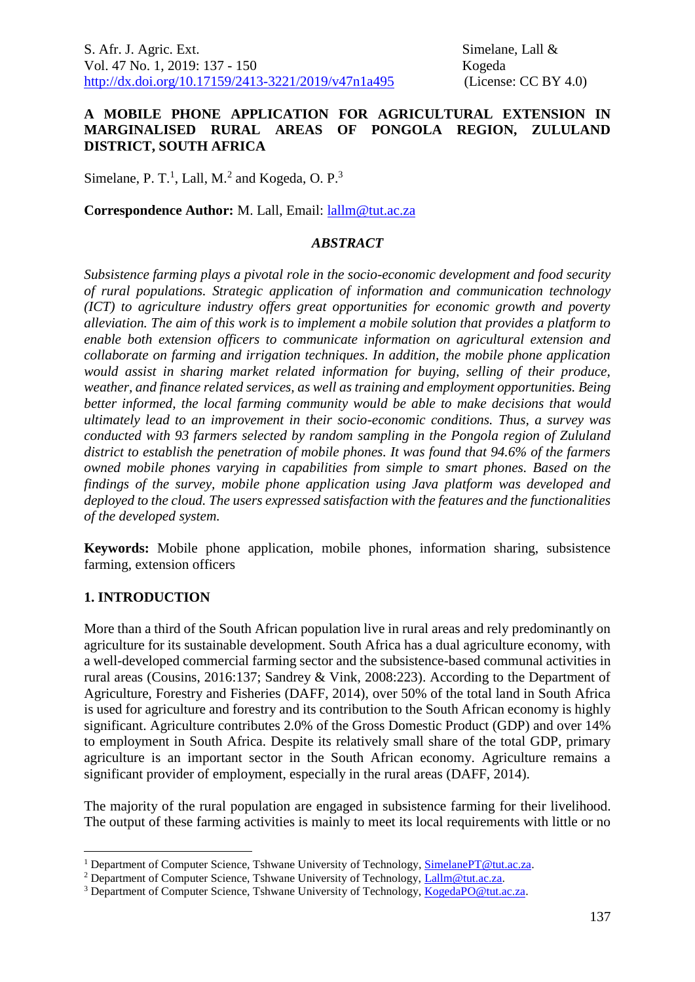## **A MOBILE PHONE APPLICATION FOR AGRICULTURAL EXTENSION IN MARGINALISED RURAL AREAS OF PONGOLA REGION, ZULULAND DISTRICT, SOUTH AFRICA**

Simelane, P. T.<sup>1</sup>, Lall, M.<sup>2</sup> and Kogeda, O. P.<sup>3</sup>

**Correspondence Author:** M. Lall, Email: [lallm@tut.ac.za](mailto:lallm@tut.ac.za)

## *ABSTRACT*

*Subsistence farming plays a pivotal role in the socio-economic development and food security of rural populations. Strategic application of information and communication technology (ICT) to agriculture industry offers great opportunities for economic growth and poverty alleviation. The aim of this work is to implement a mobile solution that provides a platform to enable both extension officers to communicate information on agricultural extension and collaborate on farming and irrigation techniques. In addition, the mobile phone application would assist in sharing market related information for buying, selling of their produce, weather, and finance related services, as well as training and employment opportunities. Being better informed, the local farming community would be able to make decisions that would ultimately lead to an improvement in their socio-economic conditions. Thus, a survey was conducted with 93 farmers selected by random sampling in the Pongola region of Zululand district to establish the penetration of mobile phones. It was found that 94.6% of the farmers owned mobile phones varying in capabilities from simple to smart phones. Based on the findings of the survey, mobile phone application using Java platform was developed and deployed to the cloud. The users expressed satisfaction with the features and the functionalities of the developed system.*

**Keywords:** Mobile phone application, mobile phones, information sharing, subsistence farming, extension officers

# **1. INTRODUCTION**

1

More than a third of the South African population live in rural areas and rely predominantly on agriculture for its sustainable development. South Africa has a dual agriculture economy, with a well-developed commercial farming sector and the subsistence-based communal activities in rural areas (Cousins, 2016:137; Sandrey & Vink, 2008:223). According to the Department of Agriculture, Forestry and Fisheries (DAFF, 2014), over 50% of the total land in South Africa is used for agriculture and forestry and its contribution to the South African economy is highly significant. Agriculture contributes 2.0% of the Gross Domestic Product (GDP) and over 14% to employment in South Africa. Despite its relatively small share of the total GDP, primary agriculture is an important sector in the South African economy. Agriculture remains a significant provider of employment, especially in the rural areas (DAFF, 2014).

The majority of the rural population are engaged in subsistence farming for their livelihood. The output of these farming activities is mainly to meet its local requirements with little or no

<sup>&</sup>lt;sup>1</sup> Department of Computer Science, Tshwane University of Technology, [SimelanePT@tut.ac.za.](mailto:SimelanePT@tut.ac.za)

<sup>&</sup>lt;sup>2</sup> Department of Computer Science, Tshwane University of Technology, [Lallm@tut.ac.za.](mailto:Lallm@tut.ac.za)

<sup>&</sup>lt;sup>3</sup> Department of Computer Science, Tshwane University of Technology, [KogedaPO@tut.ac.za.](mailto:KogedaPO@tut.ac.za)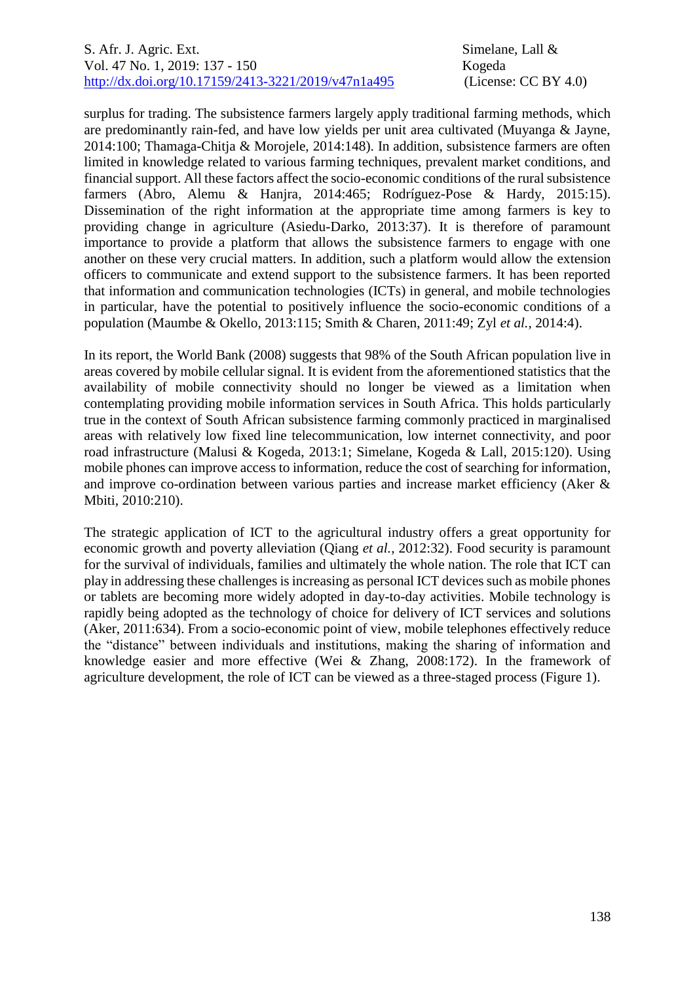surplus for trading. The subsistence farmers largely apply traditional farming methods, which are predominantly rain-fed, and have low yields per unit area cultivated (Muyanga & Jayne, 2014:100; Thamaga-Chitja & Morojele, 2014:148). In addition, subsistence farmers are often limited in knowledge related to various farming techniques, prevalent market conditions, and financial support. All these factors affect the socio-economic conditions of the rural subsistence farmers (Abro, Alemu & Hanjra, 2014:465; Rodríguez-Pose & Hardy, 2015:15). Dissemination of the right information at the appropriate time among farmers is key to providing change in agriculture (Asiedu-Darko, 2013:37). It is therefore of paramount importance to provide a platform that allows the subsistence farmers to engage with one another on these very crucial matters. In addition, such a platform would allow the extension officers to communicate and extend support to the subsistence farmers. It has been reported that information and communication technologies (ICTs) in general, and mobile technologies in particular, have the potential to positively influence the socio-economic conditions of a population (Maumbe & Okello, 2013:115; Smith & Charen, 2011:49; Zyl *et al.*, 2014:4).

In its report, the World Bank (2008) suggests that 98% of the South African population live in areas covered by mobile cellular signal. It is evident from the aforementioned statistics that the availability of mobile connectivity should no longer be viewed as a limitation when contemplating providing mobile information services in South Africa. This holds particularly true in the context of South African subsistence farming commonly practiced in marginalised areas with relatively low fixed line telecommunication, low internet connectivity, and poor road infrastructure (Malusi & Kogeda, 2013:1; Simelane, Kogeda & Lall, 2015:120). Using mobile phones can improve access to information, reduce the cost of searching for information, and improve co-ordination between various parties and increase market efficiency (Aker & Mbiti, 2010:210).

The strategic application of ICT to the agricultural industry offers a great opportunity for economic growth and poverty alleviation (Qiang *et al.*, 2012:32). Food security is paramount for the survival of individuals, families and ultimately the whole nation. The role that ICT can play in addressing these challenges is increasing as personal ICT devices such as mobile phones or tablets are becoming more widely adopted in day-to-day activities. Mobile technology is rapidly being adopted as the technology of choice for delivery of ICT services and solutions (Aker, 2011:634). From a socio-economic point of view, mobile telephones effectively reduce the "distance" between individuals and institutions, making the sharing of information and knowledge easier and more effective (Wei & Zhang, 2008:172). In the framework of agriculture development, the role of ICT can be viewed as a three-staged process (Figure 1).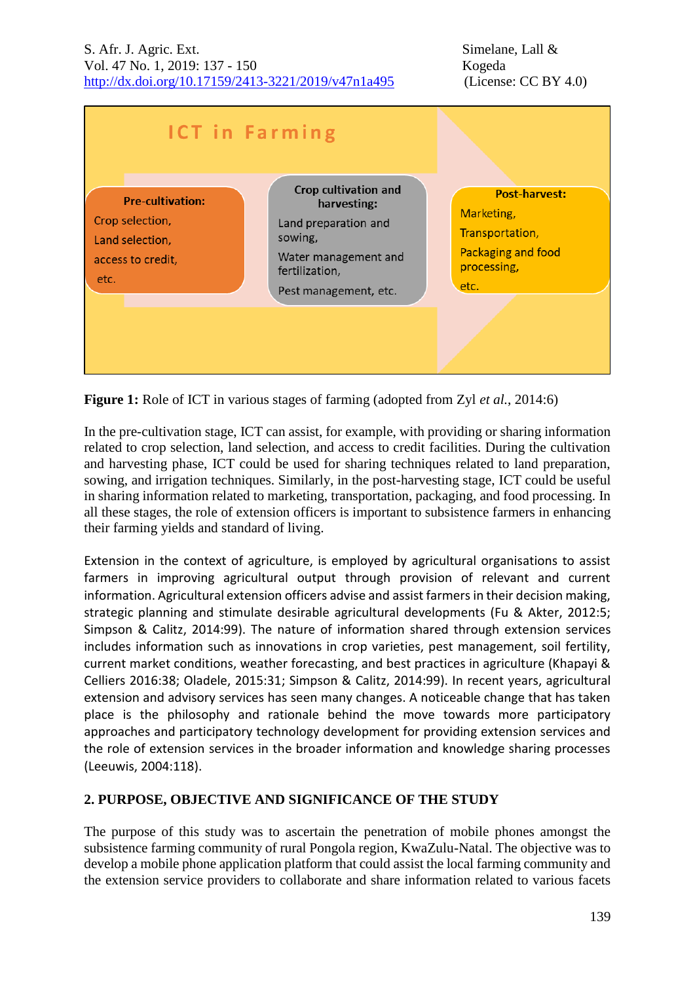

**Figure 1:** Role of ICT in various stages of farming (adopted from Zyl *et al.*, 2014:6)

In the pre-cultivation stage, ICT can assist, for example, with providing or sharing information related to crop selection, land selection, and access to credit facilities. During the cultivation and harvesting phase, ICT could be used for sharing techniques related to land preparation, sowing, and irrigation techniques. Similarly, in the post-harvesting stage, ICT could be useful in sharing information related to marketing, transportation, packaging, and food processing. In all these stages, the role of extension officers is important to subsistence farmers in enhancing their farming yields and standard of living.

Extension in the context of agriculture, is employed by agricultural organisations to assist farmers in improving agricultural output through provision of relevant and current information. Agricultural extension officers advise and assist farmers in their decision making, strategic planning and stimulate desirable agricultural developments (Fu & Akter, 2012:5; Simpson & Calitz, 2014:99). The nature of information shared through extension services includes information such as innovations in crop varieties, pest management, soil fertility, current market conditions, weather forecasting, and best practices in agriculture (Khapayi & Celliers 2016:38; Oladele, 2015:31; Simpson & Calitz, 2014:99). In recent years, agricultural extension and advisory services has seen many changes. A noticeable change that has taken place is the philosophy and rationale behind the move towards more participatory approaches and participatory technology development for providing extension services and the role of extension services in the broader information and knowledge sharing processes (Leeuwis, 2004:118).

# **2. PURPOSE, OBJECTIVE AND SIGNIFICANCE OF THE STUDY**

The purpose of this study was to ascertain the penetration of mobile phones amongst the subsistence farming community of rural Pongola region, KwaZulu-Natal. The objective was to develop a mobile phone application platform that could assist the local farming community and the extension service providers to collaborate and share information related to various facets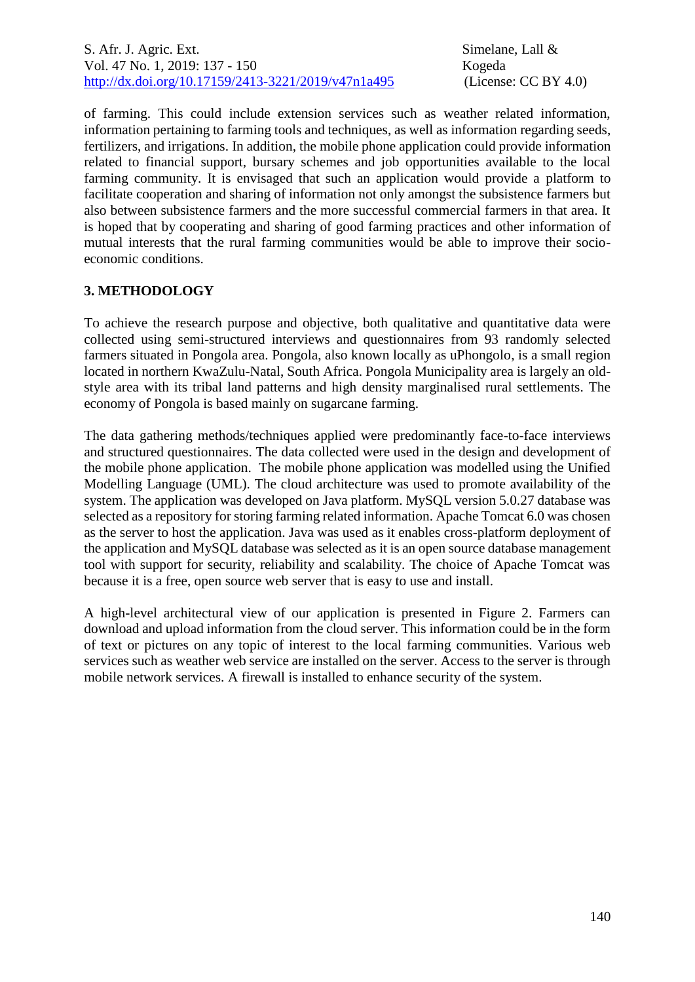of farming. This could include extension services such as weather related information, information pertaining to farming tools and techniques, as well as information regarding seeds, fertilizers, and irrigations. In addition, the mobile phone application could provide information related to financial support, bursary schemes and job opportunities available to the local farming community. It is envisaged that such an application would provide a platform to facilitate cooperation and sharing of information not only amongst the subsistence farmers but also between subsistence farmers and the more successful commercial farmers in that area. It is hoped that by cooperating and sharing of good farming practices and other information of mutual interests that the rural farming communities would be able to improve their socioeconomic conditions.

## **3. METHODOLOGY**

To achieve the research purpose and objective, both qualitative and quantitative data were collected using semi-structured interviews and questionnaires from 93 randomly selected farmers situated in Pongola area. Pongola, also known locally as uPhongolo, is a small region located in northern KwaZulu-Natal, South Africa. Pongola Municipality area is largely an oldstyle area with its tribal land patterns and high density marginalised rural settlements. The economy of Pongola is based mainly on sugarcane farming.

The data gathering methods/techniques applied were predominantly face-to-face interviews and structured questionnaires. The data collected were used in the design and development of the mobile phone application. The mobile phone application was modelled using the Unified Modelling Language (UML). The cloud architecture was used to promote availability of the system. The application was developed on Java platform. MySQL version 5.0.27 database was selected as a repository for storing farming related information. Apache Tomcat 6.0 was chosen as the server to host the application. Java was used as it enables cross-platform deployment of the application and MySQL database was selected as it is an open source database management tool with support for security, reliability and scalability. The choice of Apache Tomcat was because it is a free, open source web server that is easy to use and install.

A high-level architectural view of our application is presented in Figure 2. Farmers can download and upload information from the cloud server. This information could be in the form of text or pictures on any topic of interest to the local farming communities. Various web services such as weather web service are installed on the server. Access to the server is through mobile network services. A firewall is installed to enhance security of the system.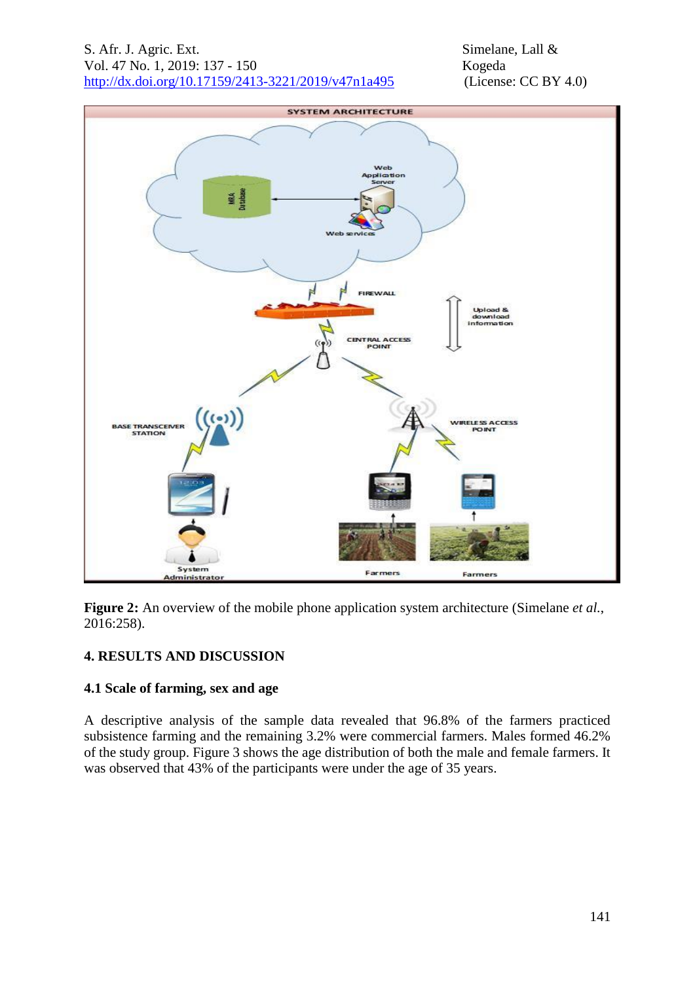

**Figure 2:** An overview of the mobile phone application system architecture (Simelane *et al.*, 2016:258).

# **4. RESULTS AND DISCUSSION**

# **4.1 Scale of farming, sex and age**

A descriptive analysis of the sample data revealed that 96.8% of the farmers practiced subsistence farming and the remaining 3.2% were commercial farmers. Males formed 46.2% of the study group. Figure 3 shows the age distribution of both the male and female farmers. It was observed that 43% of the participants were under the age of 35 years.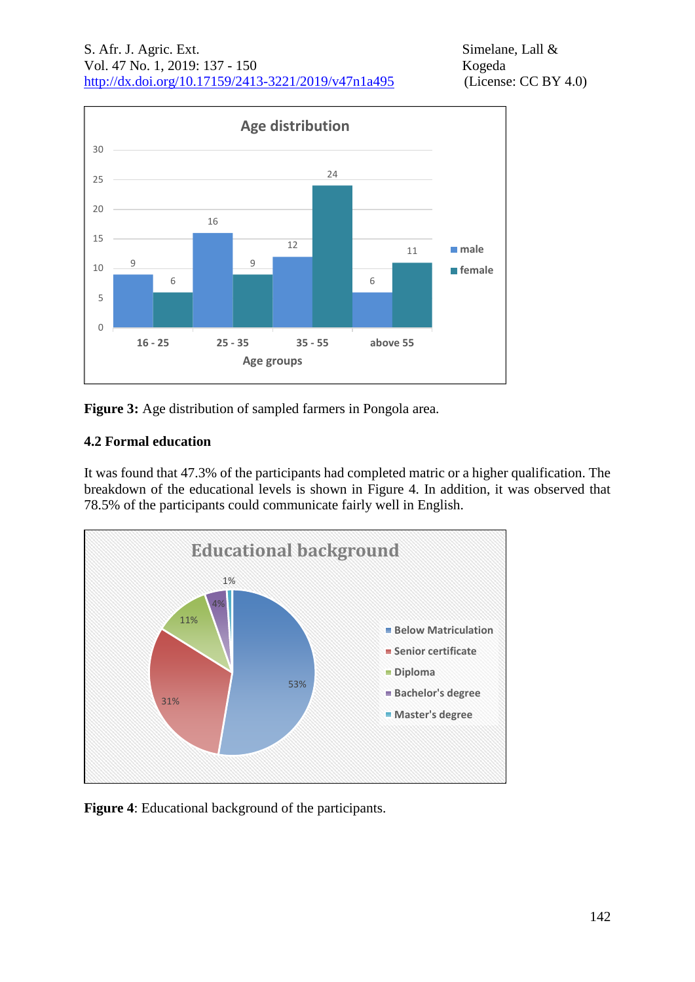

**Figure 3:** Age distribution of sampled farmers in Pongola area.

# **4.2 Formal education**

It was found that 47.3% of the participants had completed matric or a higher qualification. The breakdown of the educational levels is shown in Figure 4. In addition, it was observed that 78.5% of the participants could communicate fairly well in English.



**Figure 4**: Educational background of the participants.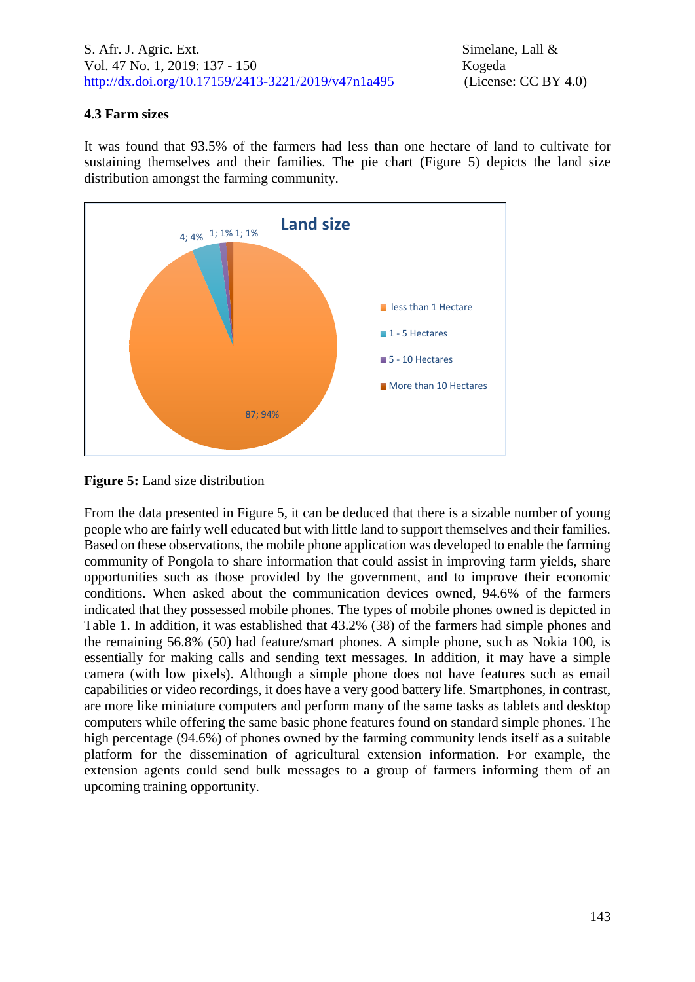# **4.3 Farm sizes**

It was found that 93.5% of the farmers had less than one hectare of land to cultivate for sustaining themselves and their families. The pie chart (Figure 5) depicts the land size distribution amongst the farming community.





From the data presented in Figure 5, it can be deduced that there is a sizable number of young people who are fairly well educated but with little land to support themselves and their families. Based on these observations, the mobile phone application was developed to enable the farming community of Pongola to share information that could assist in improving farm yields, share opportunities such as those provided by the government, and to improve their economic conditions. When asked about the communication devices owned, 94.6% of the farmers indicated that they possessed mobile phones. The types of mobile phones owned is depicted in Table 1. In addition, it was established that 43.2% (38) of the farmers had simple phones and the remaining 56.8% (50) had feature/smart phones. A simple phone, such as Nokia 100, is essentially for making calls and sending text messages. In addition, it may have a simple camera (with low pixels). Although a simple phone does not have features such as email capabilities or video recordings, it does have a very good battery life. Smartphones, in contrast, are more like miniature computers and perform many of the same tasks as tablets and desktop computers while offering the same basic phone features found on standard simple phones. The high percentage (94.6%) of phones owned by the farming community lends itself as a suitable platform for the dissemination of agricultural extension information. For example, the extension agents could send bulk messages to a group of farmers informing them of an upcoming training opportunity.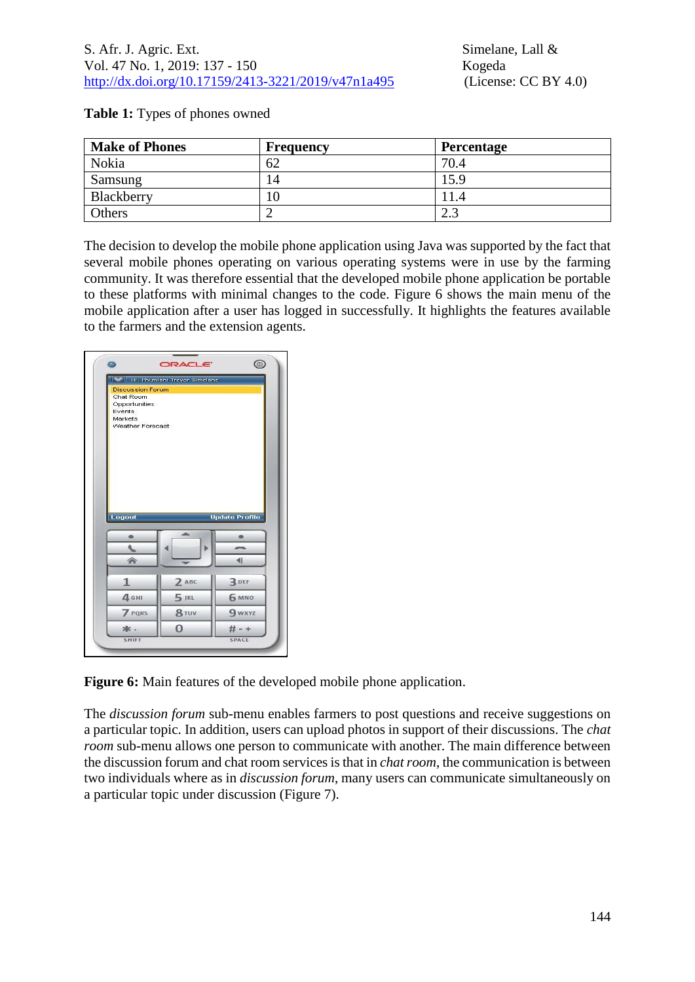| <b>Make of Phones</b> | <b>Frequency</b> | <b>Percentage</b> |
|-----------------------|------------------|-------------------|
| Nokia                 | 62               | 70.4              |
| Samsung               | 14               | 15.9              |
| Blackberry            | 10               |                   |
| Others                |                  | د.ء               |

### **Table 1:** Types of phones owned

The decision to develop the mobile phone application using Java was supported by the fact that several mobile phones operating on various operating systems were in use by the farming community. It was therefore essential that the developed mobile phone application be portable to these platforms with minimal changes to the code. Figure 6 shows the main menu of the mobile application after a user has logged in successfully. It highlights the features available to the farmers and the extension agents.

| o                                                                                              | <b>ORACLE</b>                | ⊚                     |
|------------------------------------------------------------------------------------------------|------------------------------|-----------------------|
| <b>Discussion Forum</b><br>Chat Room<br>Opportunities<br>Events<br>Markets<br>Weather Forecast | Hi, Phumlani Trevor Simelane |                       |
|                                                                                                |                              |                       |
| Logout                                                                                         | ∽                            | <b>Update Profile</b> |
|                                                                                                |                              |                       |
| €                                                                                              | $\overline{\phantom{a}}$     | 41                    |
| $\mathbf{1}$                                                                                   | $2$ ABC                      | $3$ DEF               |
| 4 <sub>GHI</sub>                                                                               | $5$ JKL                      | 6 MNO                 |
| 7 PQRS                                                                                         | 8 TUV                        | <b>9 wxyz</b>         |
| 冰.                                                                                             | 0                            | # - +                 |

**Figure 6:** Main features of the developed mobile phone application.

The *discussion forum* sub-menu enables farmers to post questions and receive suggestions on a particular topic. In addition, users can upload photos in support of their discussions. The *chat room* sub-menu allows one person to communicate with another. The main difference between the discussion forum and chat room services is that in *chat room*, the communication is between two individuals where as in *discussion forum*, many users can communicate simultaneously on a particular topic under discussion (Figure 7).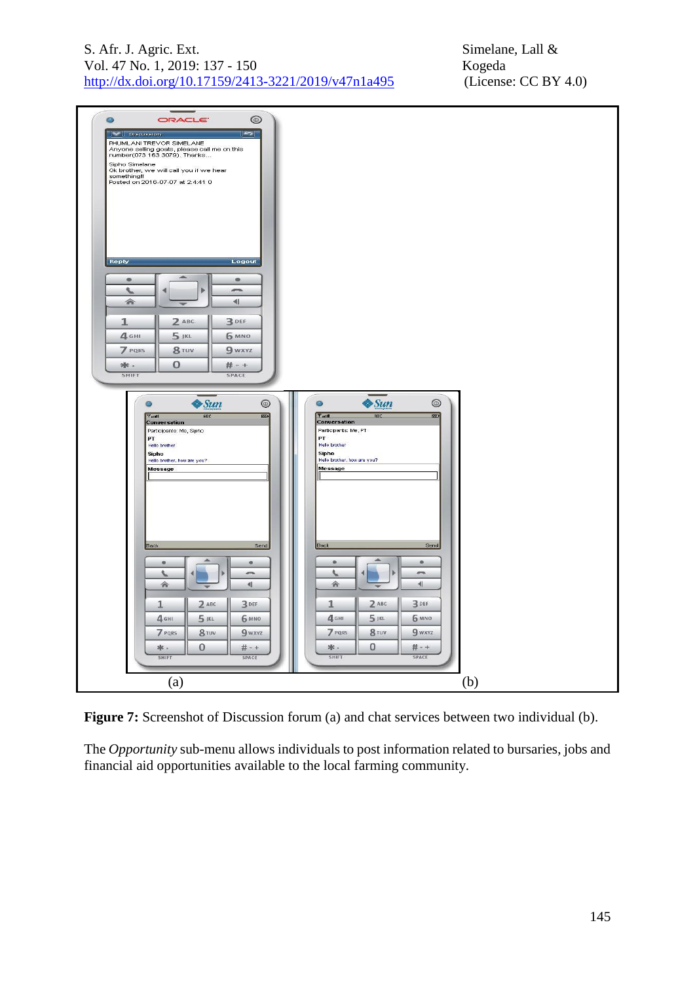| S. Afr. J. Agric. Ext.                              |
|-----------------------------------------------------|
| Vol. 47 No. 1, 2019: 137 - 150                      |
| http://dx.doi.org/10.17159/2413-3221/2019/v47n1a495 |



**Figure 7:** Screenshot of Discussion forum (a) and chat services between two individual (b).

The *Opportunity* sub-menu allows individuals to post information related to bursaries, jobs and financial aid opportunities available to the local farming community.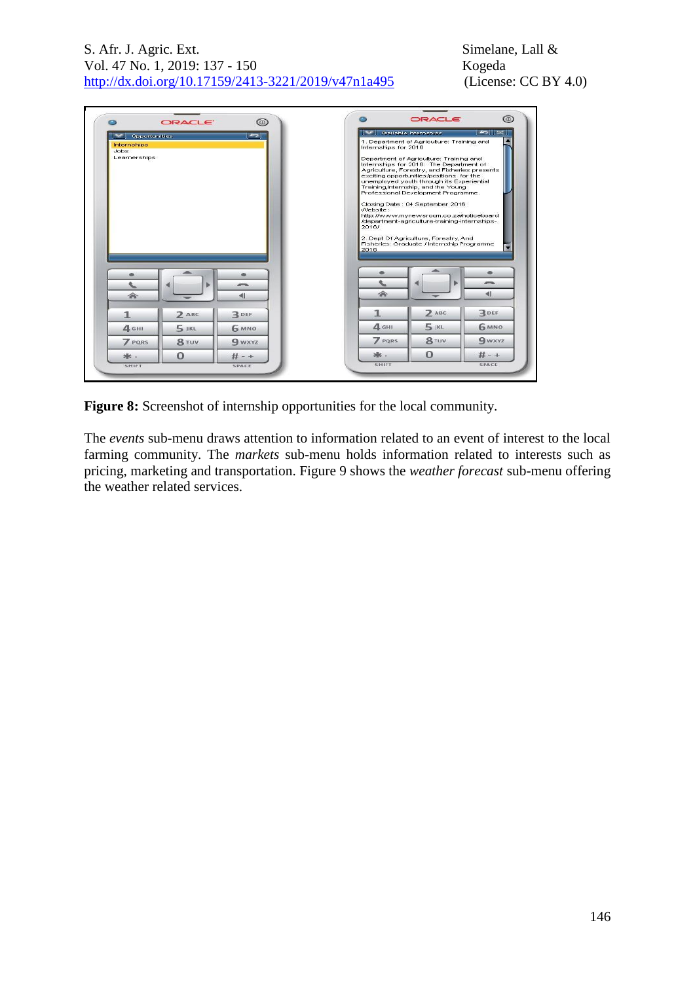| Opportunities        |         | ౹≂             |                      | Available Internships                                                                                                                                                                                                                                                                                                                                                                                                                     | ∣≍≍ ⊪                                  |
|----------------------|---------|----------------|----------------------|-------------------------------------------------------------------------------------------------------------------------------------------------------------------------------------------------------------------------------------------------------------------------------------------------------------------------------------------------------------------------------------------------------------------------------------------|----------------------------------------|
| Internships<br>Jobs: |         |                | Internships for 2016 | 1. Department of Agriculture: Training and                                                                                                                                                                                                                                                                                                                                                                                                |                                        |
| Learnerships         |         |                | Website:<br>2016/    | Department of Agriculture: Training and<br>Internships for 2016: The Department of<br>Agriculture, Forestry, and Fisheries presents<br>exciting opportunities/positions for the<br>unemployed youth through its Experiential<br>Training, Internship, and the Young<br>Professional Development Programme.<br>Closing Date: 04 September 2016<br>http://www.mynewsroom.co.za/noticeboard<br>/department-agriculture-training-internships- |                                        |
|                      |         |                | 2016                 | 2. Dept Of Agriculture, Forestry, And<br>Fisheries: Graduate / Internship Programme                                                                                                                                                                                                                                                                                                                                                       |                                        |
|                      | ь       | $\overline{a}$ | 会                    |                                                                                                                                                                                                                                                                                                                                                                                                                                           | $\overline{a}$<br>$\blacktriangleleft$ |
| 会                    |         | ◀              |                      |                                                                                                                                                                                                                                                                                                                                                                                                                                           |                                        |
| $\mathbf{1}$         | $2$ ABC | $3$ DEF        | 1                    | $2$ ABC                                                                                                                                                                                                                                                                                                                                                                                                                                   | $3$ DEF                                |
| 4 <sub>GHI</sub>     | $5$ JKL | <b>6 MNO</b>   | 4 GHI                | $5$ JKL                                                                                                                                                                                                                                                                                                                                                                                                                                   | 6 MNO                                  |
| <b>7</b> PQRS        | 8 TUV   | <b>9 wxyz</b>  | <b>7</b> PQRS        | 8 TUV                                                                                                                                                                                                                                                                                                                                                                                                                                     | <b>9 wxyz</b>                          |
|                      |         |                | ※.                   | $\Omega$                                                                                                                                                                                                                                                                                                                                                                                                                                  | # - +                                  |

**Figure 8:** Screenshot of internship opportunities for the local community.

The *events* sub-menu draws attention to information related to an event of interest to the local farming community. The *markets* sub-menu holds information related to interests such as pricing, marketing and transportation. Figure 9 shows the *weather forecast* sub-menu offering the weather related services.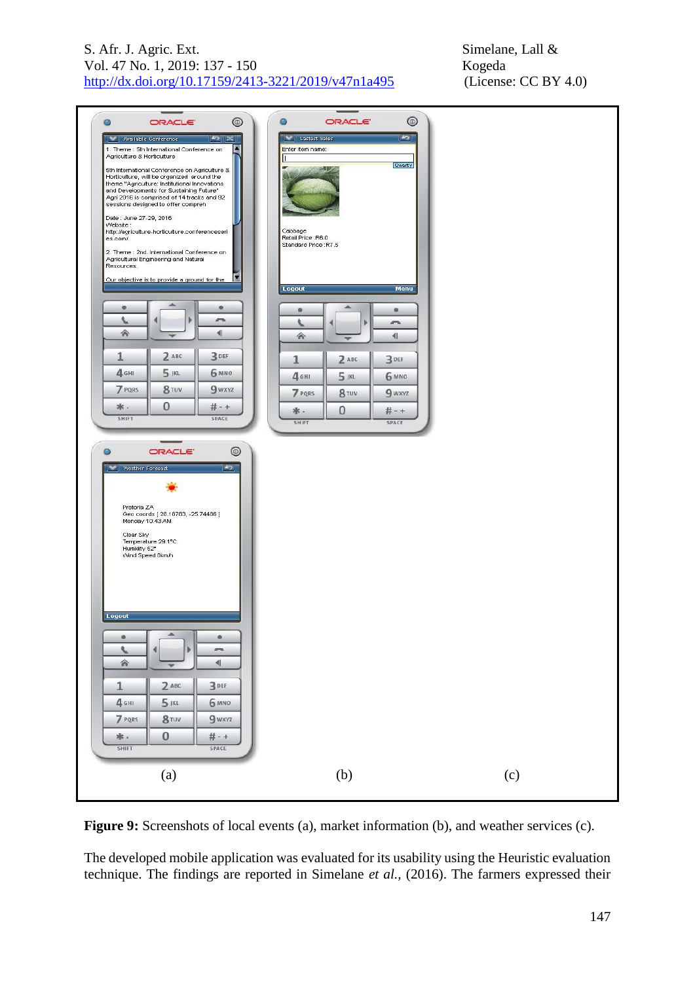

**Figure 9:** Screenshots of local events (a), market information (b), and weather services (c).

The developed mobile application was evaluated for its usability using the Heuristic evaluation technique. The findings are reported in Simelane *et al.,* (2016). The farmers expressed their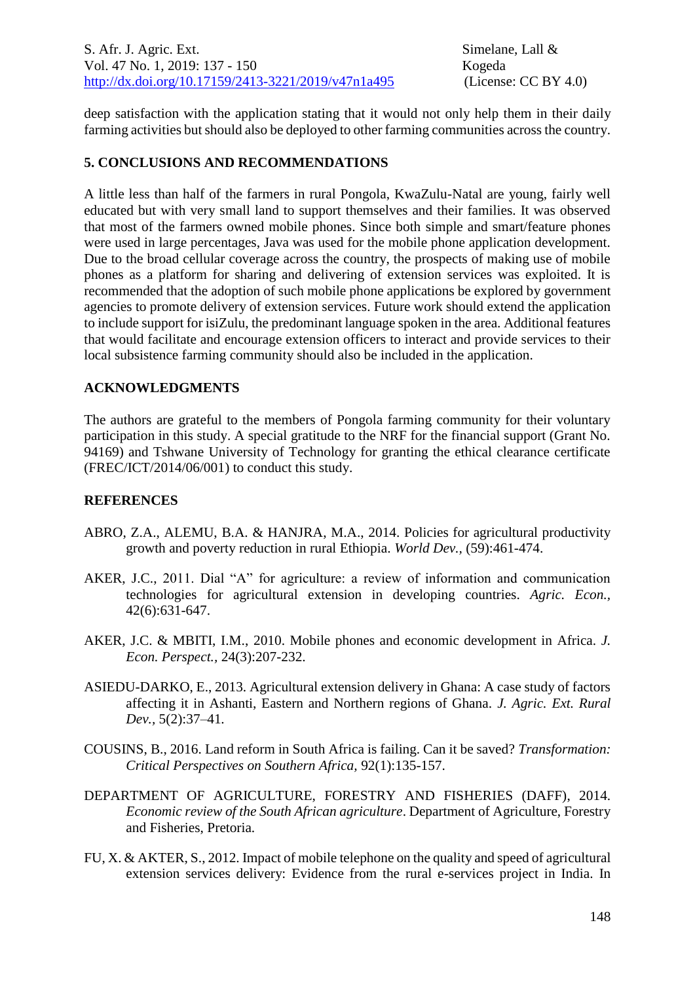deep satisfaction with the application stating that it would not only help them in their daily farming activities but should also be deployed to other farming communities across the country.

# **5. CONCLUSIONS AND RECOMMENDATIONS**

A little less than half of the farmers in rural Pongola, KwaZulu-Natal are young, fairly well educated but with very small land to support themselves and their families. It was observed that most of the farmers owned mobile phones. Since both simple and smart/feature phones were used in large percentages, Java was used for the mobile phone application development. Due to the broad cellular coverage across the country, the prospects of making use of mobile phones as a platform for sharing and delivering of extension services was exploited. It is recommended that the adoption of such mobile phone applications be explored by government agencies to promote delivery of extension services. Future work should extend the application to include support for isiZulu, the predominant language spoken in the area. Additional features that would facilitate and encourage extension officers to interact and provide services to their local subsistence farming community should also be included in the application.

## **ACKNOWLEDGMENTS**

The authors are grateful to the members of Pongola farming community for their voluntary participation in this study. A special gratitude to the NRF for the financial support (Grant No. 94169) and Tshwane University of Technology for granting the ethical clearance certificate (FREC/ICT/2014/06/001) to conduct this study.

### **REFERENCES**

- ABRO, Z.A., ALEMU, B.A. & HANJRA, M.A., 2014. Policies for agricultural productivity growth and poverty reduction in rural Ethiopia. *World Dev.,* (59):461-474.
- AKER, J.C., 2011. Dial "A" for agriculture: a review of information and communication technologies for agricultural extension in developing countries. *Agric. Econ.,* 42(6):631-647.
- AKER, J.C. & MBITI, I.M., 2010. Mobile phones and economic development in Africa. *J. Econ. Perspect.,* 24(3):207-232.
- ASIEDU-DARKO, E., 2013. Agricultural extension delivery in Ghana: A case study of factors affecting it in Ashanti, Eastern and Northern regions of Ghana. *J. Agric. Ext. Rural Dev.,* 5(2):37–41*.*
- COUSINS, B., 2016. Land reform in South Africa is failing. Can it be saved? *Transformation: Critical Perspectives on Southern Africa,* 92(1):135-157.
- DEPARTMENT OF AGRICULTURE, FORESTRY AND FISHERIES (DAFF), 2014. *Economic review of the South African agriculture*. Department of Agriculture, Forestry and Fisheries, Pretoria.
- FU, X. & AKTER, S., 2012. Impact of mobile telephone on the quality and speed of agricultural extension services delivery: Evidence from the rural e-services project in India. In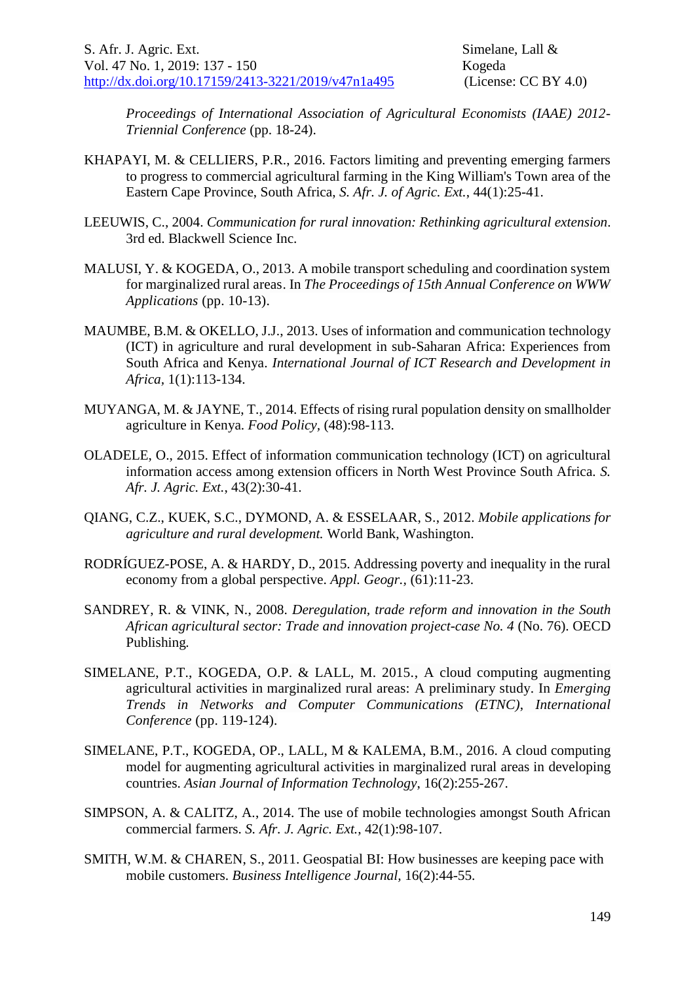*Proceedings of International Association of Agricultural Economists (IAAE) 2012- Triennial Conference* (pp. 18-24).

- KHAPAYI, M. & CELLIERS, P.R., 2016. Factors limiting and preventing emerging farmers to progress to commercial agricultural farming in the King William's Town area of the Eastern Cape Province, South Africa, *S. Afr. J. of Agric. Ext.*, 44(1):25-41.
- LEEUWIS, C., 2004. *Communication for rural innovation: Rethinking agricultural extension*. 3rd ed. Blackwell Science Inc.
- MALUSI, Y. & KOGEDA, O., 2013. A mobile transport scheduling and coordination system for marginalized rural areas. In *The Proceedings of 15th Annual Conference on WWW Applications* (pp. 10-13).
- MAUMBE, B.M. & OKELLO, J.J., 2013. Uses of information and communication technology (ICT) in agriculture and rural development in sub-Saharan Africa: Experiences from South Africa and Kenya. *International Journal of ICT Research and Development in Africa,* 1(1):113-134.
- MUYANGA, M. & JAYNE, T., 2014. Effects of rising rural population density on smallholder agriculture in Kenya. *Food Policy,* (48):98-113.
- OLADELE, O., 2015. Effect of information communication technology (ICT) on agricultural information access among extension officers in North West Province South Africa. *S. Afr. J. Agric. Ext.*, 43(2):30-41.
- QIANG, C.Z., KUEK, S.C., DYMOND, A. & ESSELAAR, S., 2012. *Mobile applications for agriculture and rural development.* World Bank, Washington.
- RODRÍGUEZ-POSE, A. & HARDY, D., 2015. Addressing poverty and inequality in the rural economy from a global perspective. *Appl. Geogr.,* (61):11-23.
- SANDREY, R. & VINK, N., 2008. *Deregulation, trade reform and innovation in the South African agricultural sector: Trade and innovation project-case No. 4* (No. 76). OECD Publishing*.*
- SIMELANE, P.T., KOGEDA, O.P. & LALL, M. 2015., A cloud computing augmenting agricultural activities in marginalized rural areas: A preliminary study. In *Emerging Trends in Networks and Computer Communications (ETNC)*, *International Conference* (pp. 119-124).
- SIMELANE, P.T., KOGEDA, OP., LALL, M & KALEMA, B.M., 2016. A cloud computing model for augmenting agricultural activities in marginalized rural areas in developing countries. *Asian Journal of Information Technology*, 16(2):255-267.
- SIMPSON, A. & CALITZ, A., 2014. The use of mobile technologies amongst South African commercial farmers. *S. Afr. J. Agric. Ext.*, 42(1):98-107.
- SMITH, W.M. & CHAREN, S., 2011. Geospatial BI: How businesses are keeping pace with mobile customers. *Business Intelligence Journal,* 16(2):44-55.